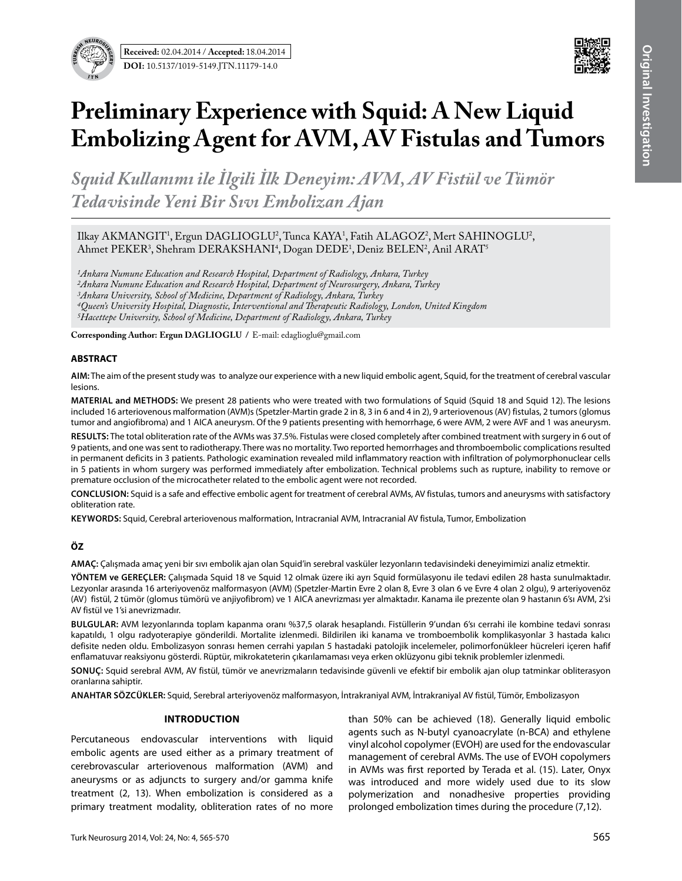



# **Preliminary Experience with Squid: A New Liquid Embolizing Agent for Avm, Av Fistulas and Tumors**

*Squid Kullanımı ile İlgili İlk Deneyim: Avm, Av Fistül ve Tümör Tedavisinde Yeni Bir Sıvı Embolizan Ajan*

Ilkay AKMANGIT<sup>1</sup>, Ergun DAGLIOGLU<sup>2</sup>, Tunca KAYA<sup>1</sup>, Fatih ALAGOZ<sup>2</sup>, Mert SAHINOGLU<sup>2</sup>, Ahmet PEKER<sup>3</sup>, Shehram DERAKSHANI<sup>4</sup>, Dogan DEDE<sup>1</sup>, Deniz BELEN<sup>2</sup>, Anil ARAT<sup>5</sup>

*1Ankara Numune Education and Research Hospital, Department of Radiology, Ankara, Turkey 2Ankara Numune Education and Research Hospital, Department of Neurosurgery, Ankara, Turkey 3Ankara University, School of Medicine, Department of Radiology, Ankara, Turkey 4Queen's University Hospital, Diagnostic, Interventional and Therapeutic Radiology, London, United Kingdom*

**Corresponding Author: Ergun DaglıoglU /** E-mail: edaglioglu@gmail.com

*5Hacettepe University, School of Medicine, Department of Radiology, Ankara, Turkey*

### **ABSTRACT**

**AIm:** The aim of the present study was to analyze our experience with a new liquid embolic agent, Squid, for the treatment of cerebral vascular lesions.

**MaterIal and Methods:** We present 28 patients who were treated with two formulations of Squid (Squid 18 and Squid 12). The lesions included 16 arteriovenous malformation (AVM)s (Spetzler-Martin grade 2 in 8, 3 in 6 and 4 in 2), 9 arteriovenous (AV) fistulas, 2 tumors (glomus tumor and angiofibroma) and 1 AICA aneurysm. Of the 9 patients presenting with hemorrhage, 6 were AVM, 2 were AVF and 1 was aneurysm.

**Results:** The total obliteration rate of the AVMs was 37.5%. Fistulas were closed completely after combined treatment with surgery in 6 out of 9 patients, and one was sent to radiotherapy. There was no mortality. Two reported hemorrhages and thromboembolic complications resulted in permanent deficits in 3 patients. Pathologic examination revealed mild inflammatory reaction with infiltration of polymorphonuclear cells in 5 patients in whom surgery was performed immediately after embolization. Technical problems such as rupture, inability to remove or premature occlusion of the microcatheter related to the embolic agent were not recorded.

**ConclusIon:** Squid is a safe and effective embolic agent for treatment of cerebral AVMs, AV fistulas, tumors and aneurysms with satisfactory obliteration rate.

**Keywords:** Squid, Cerebral arteriovenous malformation, Intracranial AVM, Intracranial AV fistula, Tumor, Embolization

# **ÖZ**

**AMAÇ:** Çalışmada amaç yeni bir sıvı embolik ajan olan Squid'in serebral vasküler lezyonların tedavisindeki deneyimimizi analiz etmektir.

**YÖNTEM ve GEREÇLER:** Çalışmada Squid 18 ve Squid 12 olmak üzere iki ayrı Squid formülasyonu ile tedavi edilen 28 hasta sunulmaktadır. Lezyonlar arasında 16 arteriyovenöz malformasyon (AVM) (Spetzler-Martin Evre 2 olan 8, Evre 3 olan 6 ve Evre 4 olan 2 olgu), 9 arteriyovenöz (AV) fistül, 2 tümör (glomus tümörü ve anjiyofibrom) ve 1 AICA anevrizması yer almaktadır. Kanama ile prezente olan 9 hastanın 6'sı AVM, 2'si AV fistül ve 1'si anevrizmadır.

**BULGULAR:** AVM lezyonlarında toplam kapanma oranı %37,5 olarak hesaplandı. Fistüllerin 9'undan 6'sı cerrahi ile kombine tedavi sonrası kapatıldı, 1 olgu radyoterapiye gönderildi. Mortalite izlenmedi. Bildirilen iki kanama ve tromboembolik komplikasyonlar 3 hastada kalıcı defisite neden oldu. Embolizasyon sonrası hemen cerrahi yapılan 5 hastadaki patolojik incelemeler, polimorfonükleer hücreleri içeren hafif enflamatuvar reaksiyonu gösterdi. Rüptür, mikrokateterin çıkarılamaması veya erken oklüzyonu gibi teknik problemler izlenmedi.

**SONUÇ:** Squid serebral AVM, AV fistül, tümör ve anevrizmaların tedavisinde güvenli ve efektif bir embolik ajan olup tatminkar obliterasyon oranlarına sahiptir.

**ANAHTAR SÖZCÜKLER:** Squid, Serebral arteriyovenöz malformasyon, İntrakraniyal AVM, İntrakraniyal AV fistül, Tümör, Embolizasyon

#### **Introduction**

Percutaneous endovascular interventions with liquid embolic agents are used either as a primary treatment of cerebrovascular arteriovenous malformation (AVM) and aneurysms or as adjuncts to surgery and/or gamma knife treatment (2, 13). When embolization is considered as a primary treatment modality, obliteration rates of no more

than 50% can be achieved (18). Generally liquid embolic agents such as N-butyl cyanoacrylate (n-BCA) and ethylene vinyl alcohol copolymer (EVOH) are used for the endovascular management of cerebral AVMs. The use of EVOH copolymers in AVMs was first reported by Terada et al. (15). Later, Onyx was introduced and more widely used due to its slow polymerization and nonadhesive properties providing prolonged embolization times during the procedure (7,12).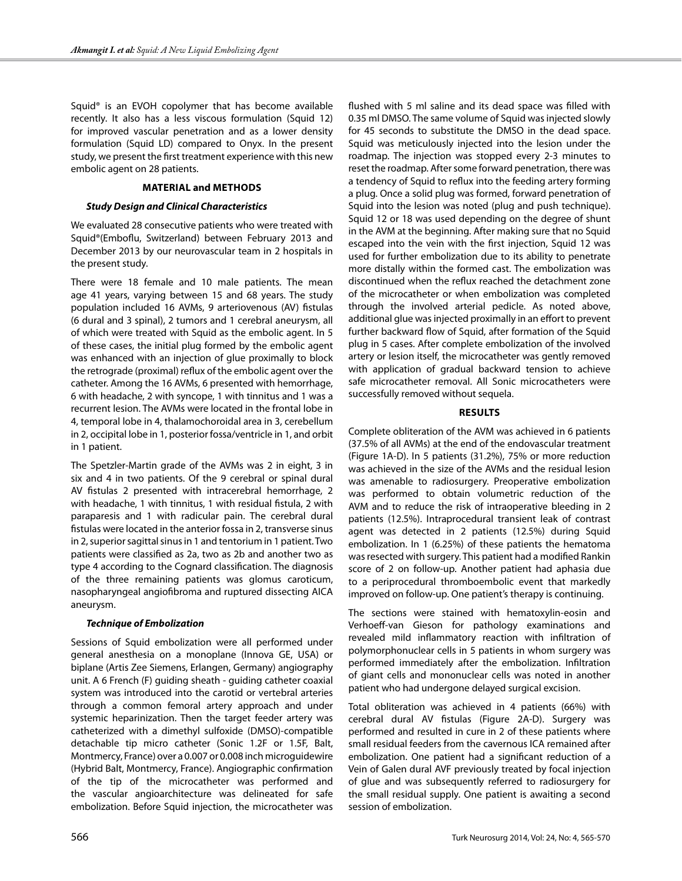Squid® is an EVOH copolymer that has become available recently. It also has a less viscous formulation (Squid 12) for improved vascular penetration and as a lower density formulation (Squid LD) compared to Onyx. In the present study, we present the first treatment experience with this new embolic agent on 28 patients.

#### **Material and Methods**

### *Study Design and Clinical Characteristics*

We evaluated 28 consecutive patients who were treated with Squid®(Emboflu, Switzerland) between February 2013 and December 2013 by our neurovascular team in 2 hospitals in the present study.

There were 18 female and 10 male patients. The mean age 41 years, varying between 15 and 68 years. The study population included 16 AVMs, 9 arteriovenous (AV) fistulas (6 dural and 3 spinal), 2 tumors and 1 cerebral aneurysm, all of which were treated with Squid as the embolic agent. In 5 of these cases, the initial plug formed by the embolic agent was enhanced with an injection of glue proximally to block the retrograde (proximal) reflux of the embolic agent over the catheter. Among the 16 AVMs, 6 presented with hemorrhage, 6 with headache, 2 with syncope, 1 with tinnitus and 1 was a recurrent lesion. The AVMs were located in the frontal lobe in 4, temporal lobe in 4, thalamochoroidal area in 3, cerebellum in 2, occipital lobe in 1, posterior fossa/ventricle in 1, and orbit in 1 patient.

The Spetzler-Martin grade of the AVMs was 2 in eight, 3 in six and 4 in two patients. Of the 9 cerebral or spinal dural AV fistulas 2 presented with intracerebral hemorrhage, 2 with headache, 1 with tinnitus, 1 with residual fistula, 2 with paraparesis and 1 with radicular pain. The cerebral dural fistulas were located in the anterior fossa in 2, transverse sinus in 2, superior sagittal sinus in 1 and tentorium in 1 patient. Two patients were classified as 2a, two as 2b and another two as type 4 according to the Cognard classification. The diagnosis of the three remaining patients was glomus caroticum, nasopharyngeal angiofibroma and ruptured dissecting AICA aneurysm.

## *Technique of Embolization*

Sessions of Squid embolization were all performed under general anesthesia on a monoplane (Innova GE, USA) or biplane (Artis Zee Siemens, Erlangen, Germany) angiography unit. A 6 French (F) guiding sheath - guiding catheter coaxial system was introduced into the carotid or vertebral arteries through a common femoral artery approach and under systemic heparinization. Then the target feeder artery was catheterized with a dimethyl sulfoxide (DMSO)-compatible detachable tip micro catheter (Sonic 1.2F or 1.5F, Balt, Montmercy, France) over a 0.007 or 0.008 inch microguidewire (Hybrid Balt, Montmercy, France). Angiographic confirmation of the tip of the microcatheter was performed and the vascular angioarchitecture was delineated for safe embolization. Before Squid injection, the microcatheter was flushed with 5 ml saline and its dead space was filled with 0.35 ml DMSO. The same volume of Squid was injected slowly for 45 seconds to substitute the DMSO in the dead space. Squid was meticulously injected into the lesion under the roadmap. The injection was stopped every 2-3 minutes to reset the roadmap. After some forward penetration, there was a tendency of Squid to reflux into the feeding artery forming a plug. Once a solid plug was formed, forward penetration of Squid into the lesion was noted (plug and push technique). Squid 12 or 18 was used depending on the degree of shunt in the AVM at the beginning. After making sure that no Squid escaped into the vein with the first injection, Squid 12 was used for further embolization due to its ability to penetrate more distally within the formed cast. The embolization was discontinued when the reflux reached the detachment zone of the microcatheter or when embolization was completed through the involved arterial pedicle. As noted above, additional glue was injected proximally in an effort to prevent further backward flow of Squid, after formation of the Squid plug in 5 cases. After complete embolization of the involved artery or lesion itself, the microcatheter was gently removed with application of gradual backward tension to achieve safe microcatheter removal. All Sonic microcatheters were successfully removed without sequela.

### **Results**

Complete obliteration of the AVM was achieved in 6 patients (37.5% of all AVMs) at the end of the endovascular treatment (Figure 1A-D). In 5 patients (31.2%), 75% or more reduction was achieved in the size of the AVMs and the residual lesion was amenable to radiosurgery. Preoperative embolization was performed to obtain volumetric reduction of the AVM and to reduce the risk of intraoperative bleeding in 2 patients (12.5%). Intraprocedural transient leak of contrast agent was detected in 2 patients (12.5%) during Squid embolization. In 1 (6.25%) of these patients the hematoma was resected with surgery. This patient had a modified Rankin score of 2 on follow-up. Another patient had aphasia due to a periprocedural thromboembolic event that markedly improved on follow-up. One patient's therapy is continuing.

The sections were stained with hematoxylin-eosin and Verhoeff-van Gieson for pathology examinations and revealed mild inflammatory reaction with infiltration of polymorphonuclear cells in 5 patients in whom surgery was performed immediately after the embolization. Infiltration of giant cells and mononuclear cells was noted in another patient who had undergone delayed surgical excision.

Total obliteration was achieved in 4 patients (66%) with cerebral dural AV fistulas (Figure 2A-D). Surgery was performed and resulted in cure in 2 of these patients where small residual feeders from the cavernous ICA remained after embolization. One patient had a significant reduction of a Vein of Galen dural AVF previously treated by focal injection of glue and was subsequently referred to radiosurgery for the small residual supply. One patient is awaiting a second session of embolization.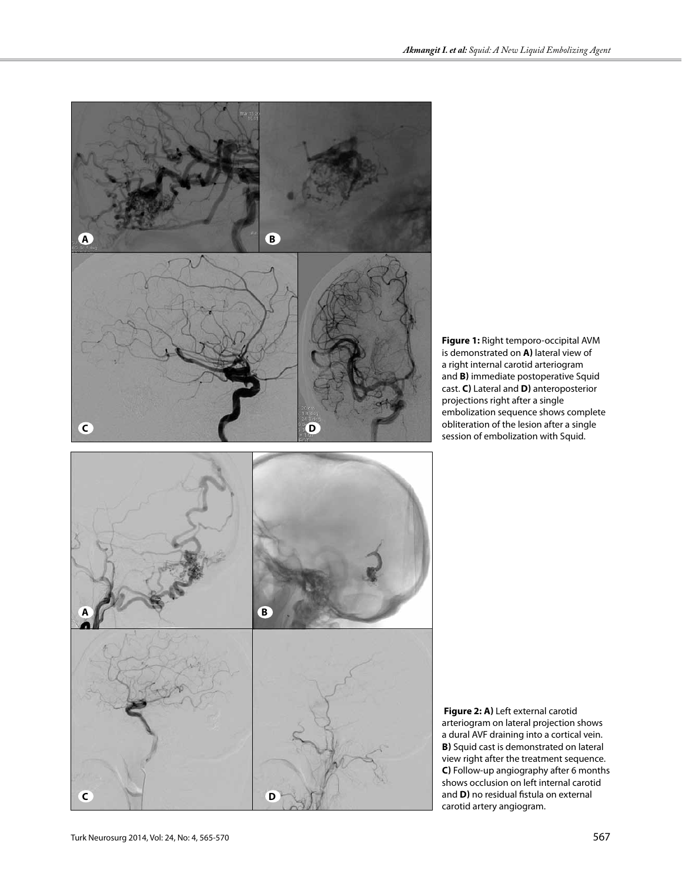



 **Figure 2: a)** Left external carotid arteriogram on lateral projection shows a dural AVF draining into a cortical vein. **B)** Squid cast is demonstrated on lateral view right after the treatment sequence. **C)** Follow-up angiography after 6 months shows occlusion on left internal carotid and **D)** no residual fistula on external carotid artery angiogram.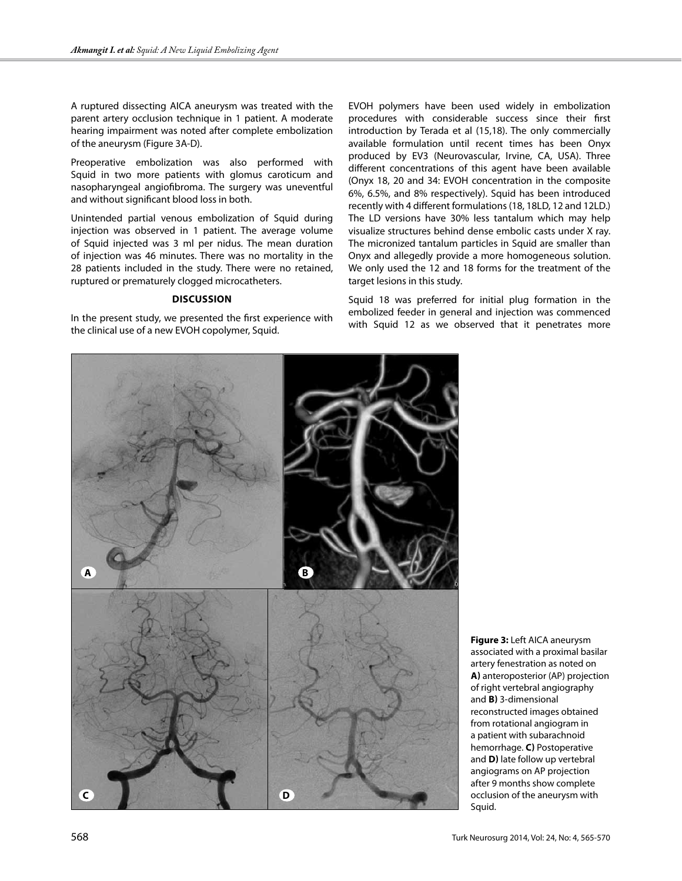A ruptured dissecting AICA aneurysm was treated with the parent artery occlusion technique in 1 patient. A moderate hearing impairment was noted after complete embolization of the aneurysm (Figure 3A-D).

Preoperative embolization was also performed with Squid in two more patients with glomus caroticum and nasopharyngeal angiofibroma. The surgery was uneventful and without significant blood loss in both.

Unintended partial venous embolization of Squid during injection was observed in 1 patient. The average volume of Squid injected was 3 ml per nidus. The mean duration of injection was 46 minutes. There was no mortality in the 28 patients included in the study. There were no retained, ruptured or prematurely clogged microcatheters.

#### **Discussion**

In the present study, we presented the first experience with the clinical use of a new EVOH copolymer, Squid.

EVOH polymers have been used widely in embolization procedures with considerable success since their first introduction by Terada et al (15,18). The only commercially available formulation until recent times has been Onyx produced by EV3 (Neurovascular, Irvine, CA, USA). Three different concentrations of this agent have been available (Onyx 18, 20 and 34: EVOH concentration in the composite 6%, 6.5%, and 8% respectively). Squid has been introduced recently with 4 different formulations (18, 18LD, 12 and 12LD.) The LD versions have 30% less tantalum which may help visualize structures behind dense embolic casts under X ray. The micronized tantalum particles in Squid are smaller than Onyx and allegedly provide a more homogeneous solution. We only used the 12 and 18 forms for the treatment of the target lesions in this study.

Squid 18 was preferred for initial plug formation in the embolized feeder in general and injection was commenced with Squid 12 as we observed that it penetrates more



**Figure 3:** Left AICA aneurysm associated with a proximal basilar artery fenestration as noted on **a)** anteroposterior (AP) projection of right vertebral angiography and **b)** 3-dimensional reconstructed images obtained from rotational angiogram in a patient with subarachnoid hemorrhage. **c)** Postoperative and **d)** late follow up vertebral angiograms on AP projection after 9 months show complete occlusion of the aneurysm with Squid.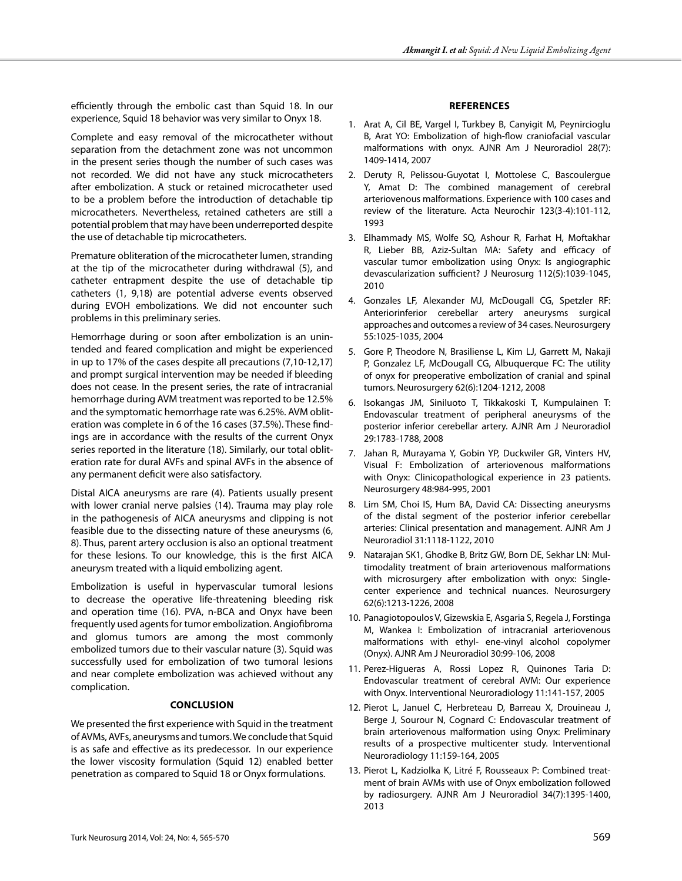efficiently through the embolic cast than Squid 18. In our experience, Squid 18 behavior was very similar to Onyx 18.

Complete and easy removal of the microcatheter without separation from the detachment zone was not uncommon in the present series though the number of such cases was not recorded. We did not have any stuck microcatheters after embolization. A stuck or retained microcatheter used to be a problem before the introduction of detachable tip microcatheters. Nevertheless, retained catheters are still a potential problem that may have been underreported despite the use of detachable tip microcatheters.

Premature obliteration of the microcatheter lumen, stranding at the tip of the microcatheter during withdrawal (5), and catheter entrapment despite the use of detachable tip catheters (1, 9,18) are potential adverse events observed during EVOH embolizations. We did not encounter such problems in this preliminary series.

Hemorrhage during or soon after embolization is an unintended and feared complication and might be experienced in up to 17% of the cases despite all precautions (7,10-12,17) and prompt surgical intervention may be needed if bleeding does not cease. In the present series, the rate of intracranial hemorrhage during AVM treatment was reported to be 12.5% and the symptomatic hemorrhage rate was 6.25%. AVM obliteration was complete in 6 of the 16 cases (37.5%). These findings are in accordance with the results of the current Onyx series reported in the literature (18). Similarly, our total obliteration rate for dural AVFs and spinal AVFs in the absence of any permanent deficit were also satisfactory.

Distal AICA aneurysms are rare (4). Patients usually present with lower cranial nerve palsies (14). Trauma may play role in the pathogenesis of AICA aneurysms and clipping is not feasible due to the dissecting nature of these aneurysms (6, 8). Thus, parent artery occlusion is also an optional treatment for these lesions. To our knowledge, this is the first AICA aneurysm treated with a liquid embolizing agent.

Embolization is useful in hypervascular tumoral lesions to decrease the operative life-threatening bleeding risk and operation time (16). PVA, n-BCA and Onyx have been frequently used agents for tumor embolization. Angiofibroma and glomus tumors are among the most commonly embolized tumors due to their vascular nature (3). Squid was successfully used for embolization of two tumoral lesions and near complete embolization was achieved without any complication.

#### **Conclusion**

We presented the first experience with Squid in the treatment of AVMs, AVFs, aneurysms and tumors. We conclude that Squid is as safe and effective as its predecessor. In our experience the lower viscosity formulation (Squid 12) enabled better penetration as compared to Squid 18 or Onyx formulations.

## **References**

- 1. Arat A, Cil BE, Vargel I, Turkbey B, Canyigit M, Peynircioglu B, Arat YO: Embolization of high-flow craniofacial vascular malformations with onyx. AJNR Am J Neuroradiol 28(7): 1409-1414, 2007
- 2. Deruty R, Pelissou-Guyotat I, Mottolese C, Bascoulergue Y, Amat D: The combined management of cerebral arteriovenous malformations. Experience with 100 cases and review of the literature. Acta Neurochir 123(3-4):101-112, 1993
- 3. Elhammady MS, Wolfe SQ, Ashour R, Farhat H, Moftakhar R, Lieber BB, Aziz-Sultan MA: Safety and efficacy of vascular tumor embolization using Onyx: Is angiographic devascularization sufficient? J Neurosurg 112(5):1039-1045, 2010
- 4. Gonzales LF, Alexander MJ, McDougall CG, Spetzler RF: Anteriorinferior cerebellar artery aneurysms surgical approaches and outcomes a review of 34 cases. Neurosurgery 55:1025-1035, 2004
- 5. Gore P, Theodore N, Brasiliense L, Kim LJ, Garrett M, Nakaji P, Gonzalez LF, McDougall CG, Albuquerque FC: The utility of onyx for preoperative embolization of cranial and spinal tumors. Neurosurgery 62(6):1204-1212, 2008
- 6. Isokangas JM, Siniluoto T, Tikkakoski T, Kumpulainen T: Endovascular treatment of peripheral aneurysms of the posterior inferior cerebellar artery. AJNR Am J Neuroradiol 29:1783-1788, 2008
- 7. Jahan R, Murayama Y, Gobin YP, Duckwiler GR, Vinters HV, Visual F: Embolization of arteriovenous malformations with Onyx: Clinicopathological experience in 23 patients. Neurosurgery 48:984-995, 2001
- 8. Lim SM, Choi IS, Hum BA, David CA: Dissecting aneurysms of the distal segment of the posterior inferior cerebellar arteries: Clinical presentation and management. AJNR Am J Neuroradiol 31:1118-1122, 2010
- 9. Natarajan SK1, Ghodke B, Britz GW, Born DE, Sekhar LN: Multimodality treatment of brain arteriovenous malformations with microsurgery after embolization with onyx: Singlecenter experience and technical nuances. Neurosurgery 62(6):1213-1226, 2008
- 10. Panagiotopoulos V, Gizewskia E, Asgaria S, Regela J, Forstinga M, Wankea I: Embolization of intracranial arteriovenous malformations with ethyl- ene-vinyl alcohol copolymer (Onyx). AJNR Am J Neuroradiol 30:99-106, 2008
- 11. Perez-Higueras A, Rossi Lopez R, Quinones Taria D: Endovascular treatment of cerebral AVM: Our experience with Onyx. Interventional Neuroradiology 11:141-157, 2005
- 12. Pierot L, Januel C, Herbreteau D, Barreau X, Drouineau J, Berge J, Sourour N, Cognard C: Endovascular treatment of brain arteriovenous malformation using Onyx: Preliminary results of a prospective multicenter study. Interventional Neuroradiology 11:159-164, 2005
- 13. Pierot L, Kadziolka K, Litré F, Rousseaux P: Combined treatment of brain AVMs with use of Onyx embolization followed by radiosurgery. AJNR Am J Neuroradiol 34(7):1395-1400, 2013